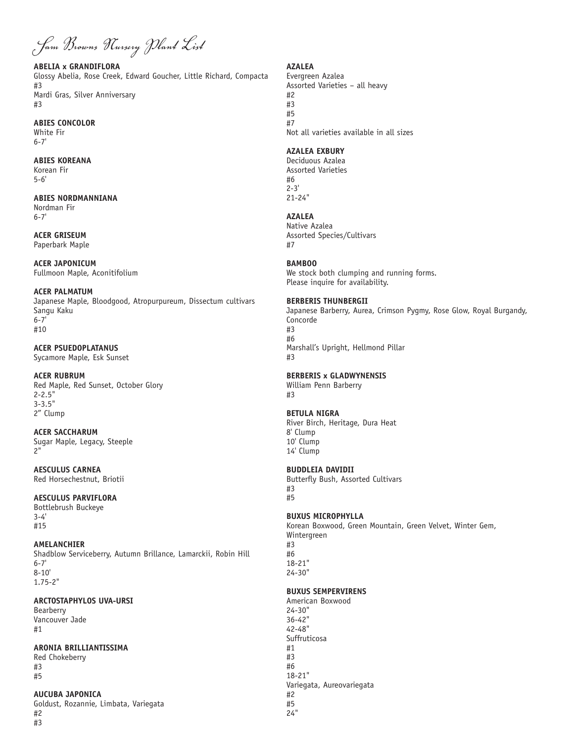*Sam Browns Nursery Plant List*

#### **ABELIA x GRANDIFLORA**

Glossy Abelia, Rose Creek, Edward Goucher, Little Richard, Compacta #3 Mardi Gras, Silver Anniversary #3

#### **ABIES CONCOLOR**

White Fir 6-7'

## **ABIES KOREANA**

Korean Fir 5-6'

# **ABIES NORDMANNIANA**

Nordman Fir 6-7'

### **ACER GRISEUM**  Paperbark Maple

**ACER JAPONICUM** Fullmoon Maple, Aconitifolium

### **ACER PALMATUM**

Japanese Maple, Bloodgood, Atropurpureum, Dissectum cultivars Sangu Kaku  $6 - 7'$ #10

## **ACER PSUEDOPLATANUS**

Sycamore Maple, Esk Sunset

### **ACER RUBRUM**

Red Maple, Red Sunset, October Glory 2-2.5" 3-3.5" 2" Clump

# **ACER SACCHARUM**

Sugar Maple, Legacy, Steeple 2"

**AESCULUS CARNEA** Red Horsechestnut, Briotii

## **AESCULUS PARVIFLORA**

Bottlebrush Buckeye 3-4' #15

## **AMELANCHIER**

Shadblow Serviceberry, Autumn Brillance, Lamarckii, Robin Hill 6-7' 8-10' 1.75-2"

### **ARCTOSTAPHYLOS UVA-URSI**

Bearberry Vancouver Jade #1

### **ARONIA BRILLIANTISSIMA**

Red Chokeberry #3 #5

#### **AUCUBA JAPONICA** Goldust, Rozannie, Limbata, Variegata #2 #3

# **AZALEA**

Evergreen Azalea Assorted Varieties – all heavy #2 #3 #5 #7 Not all varieties available in all sizes

## **AZALEA EXBURY**

Deciduous Azalea Assorted Varieties #6 2-3' 21-24"

# **AZALEA**

Native Azalea Assorted Species/Cultivars #7

## **BAMBOO**

We stock both clumping and running forms. Please inquire for availability.

## **BERBERIS THUNBERGII**

Japanese Barberry, Aurea, Crimson Pygmy, Rose Glow, Royal Burgandy, Concorde #3 #6 Marshall's Upright, Hellmond Pillar #3

# **BERBERIS x GLADWYNENSIS**

William Penn Barberry #3

## **BETULA NIGRA**

River Birch, Heritage, Dura Heat 8' Clump 10' Clump 14' Clump

## **BUDDLEIA DAVIDII**

Butterfly Bush, Assorted Cultivars #3 #5

## **BUXUS MICROPHYLLA**

Korean Boxwood, Green Mountain, Green Velvet, Winter Gem, Wintergreen #3 #6 18-21" 24-30"

## **BUXUS SEMPERVIRENS**

American Boxwood 24-30" 36-42" 42-48" Suffruticosa #1 #3 #6 18-21" Variegata, Aureovariegata #2 #5 24"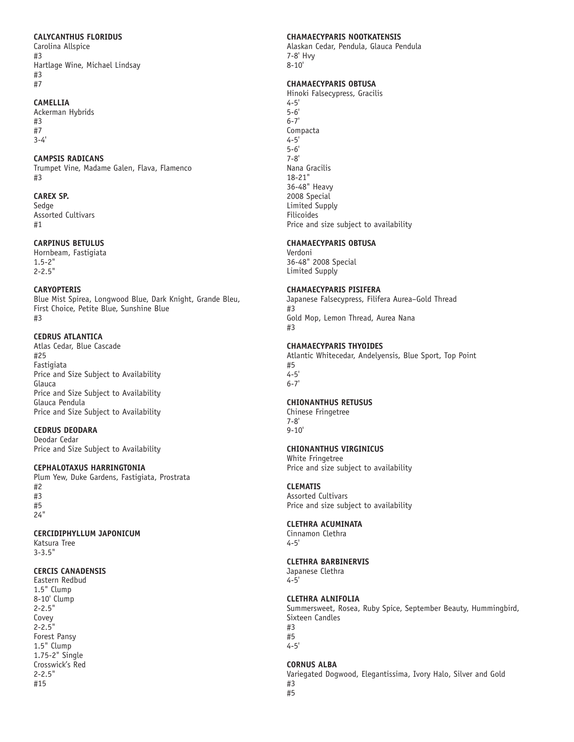#### **CALYCANTHUS FLORIDUS**

Carolina Allspice #3 Hartlage Wine, Michael Lindsay #3 #7

#### **CAMELLIA**

Ackerman Hybrids #3 #7 3-4'

#### **CAMPSIS RADICANS**

Trumpet Vine, Madame Galen, Flava, Flamenco #3

## **CAREX SP.**

Sedge Assorted Cultivars #1

#### **CARPINUS BETULUS**

Hornbeam, Fastigiata 1.5-2" 2-2.5"

#### **CARYOPTERIS**

Blue Mist Spirea, Longwood Blue, Dark Knight, Grande Bleu, First Choice, Petite Blue, Sunshine Blue #3

## **CEDRUS ATLANTICA**

Atlas Cedar, Blue Cascade #25 Fastigiata Price and Size Subject to Availability Glauca Price and Size Subject to Availability Glauca Pendula Price and Size Subject to Availability

### **CEDRUS DEODARA**

Deodar Cedar Price and Size Subject to Availability

### **CEPHALOTAXUS HARRINGTONIA**

Plum Yew, Duke Gardens, Fastigiata, Prostrata #2 #3 #5 24"

### **CERCIDIPHYLLUM JAPONICUM**

Katsura Tree 3-3.5"

### **CERCIS CANADENSIS**

Eastern Redbud 1.5" Clump 8-10' Clump 2-2.5" Covey 2-2.5" Forest Pansy 1.5" Clump 1.75-2" Single Crosswick's Red 2-2.5" #15

#### **CHAMAECYPARIS NOOTKATENSIS**

Alaskan Cedar, Pendula, Glauca Pendula 7-8' Hvy 8-10'

#### **CHAMAECYPARIS OBTUSA**

Hinoki Falsecypress, Gracilis 4-5' 5-6' 6-7' Compacta 4-5' 5-6' 7-8' Nana Gracilis 18-21" 36-48" Heavy 2008 Special Limited Supply Filicoides Price and size subject to availability

### **CHAMAECYPARIS OBTUSA**

Verdoni 36-48" 2008 Special Limited Supply

### **CHAMAECYPARIS PISIFERA**

Japanese Falsecypress, Filifera Aurea–Gold Thread #3 Gold Mop, Lemon Thread, Aurea Nana #3

#### **CHAMAECYPARIS THYOIDES**

Atlantic Whitecedar, Andelyensis, Blue Sport, Top Point #5 4-5' 6-7'

## **CHIONANTHUS RETUSUS**

Chinese Fringetree 7-8' 9-10'

## **CHIONANTHUS VIRGINICUS**

White Fringetree Price and size subject to availability

### **CLEMATIS**

Assorted Cultivars Price and size subject to availability

### **CLETHRA ACUMINATA**

Cinnamon Clethra 4-5'

## **CLETHRA BARBINERVIS**

Japanese Clethra 4-5'

### **CLETHRA ALNIFOLIA**

Summersweet, Rosea, Ruby Spice, September Beauty, Hummingbird, Sixteen Candles #3 #5 4-5'

### **CORNUS ALBA**

Variegated Dogwood, Elegantissima, Ivory Halo, Silver and Gold

#3 #5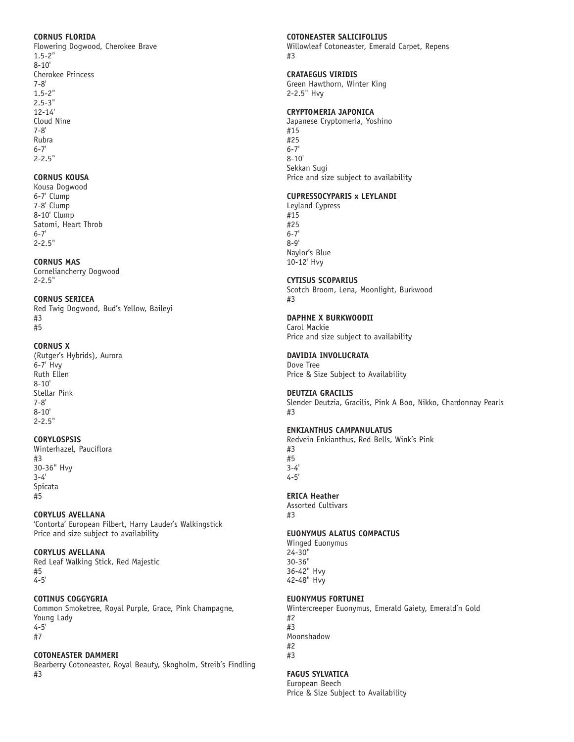### **CORNUS FLORIDA**

Flowering Dogwood, Cherokee Brave 1.5-2"  $8 - 10'$ Cherokee Princess 7-8' 1.5-2" 2.5-3" 12-14' Cloud Nine 7-8' Rubra 6-7' 2-2.5"

## **CORNUS KOUSA**

Kousa Dogwood 6-7' Clump 7-8' Clump 8-10' Clump Satomi, Heart Throb 6-7' 2-2.5"

# **CORNUS MAS**

Corneliancherry Dogwood 2-2.5"

# **CORNUS SERICEA**

Red Twig Dogwood, Bud's Yellow, Baileyi #3 #5

## **CORNUS X**

(Rutger's Hybrids), Aurora 6-7' Hvy Ruth Ellen 8-10' Stellar Pink 7-8' 8-10'  $2 - 2.5$ "

# **CORYLOSPSIS**

Winterhazel, Pauciflora #3 30-36" Hvy 3-4' Spicata #5

# **CORYLUS AVELLANA**

'Contorta' European Filbert, Harry Lauder's Walkingstick Price and size subject to availability

## **CORYLUS AVELLANA**

Red Leaf Walking Stick, Red Majestic #5 4-5'

## **COTINUS COGGYGRIA**

Common Smoketree, Royal Purple, Grace, Pink Champagne, Young Lady 4-5' #7

## **COTONEASTER DAMMERI**

Bearberry Cotoneaster, Royal Beauty, Skogholm, Streib's Findling #3

## **COTONEASTER SALICIFOLIUS**

Willowleaf Cotoneaster, Emerald Carpet, Repens #3

# **CRATAEGUS VIRIDIS**

Green Hawthorn, Winter King 2-2.5" Hvy

## **CRYPTOMERIA JAPONICA**

Japanese Cryptomeria, Yoshino #15 #25 6-7' 8-10' Sekkan Sugi Price and size subject to availability

# **CUPRESSOCYPARIS x LEYLANDI**

Leyland Cypress #15 #25 6-7' 8-9' Naylor's Blue 10-12' Hvy

## **CYTISUS SCOPARIUS**

Scotch Broom, Lena, Moonlight, Burkwood #3

## **DAPHNE X BURKWOODII**

Carol Mackie Price and size subject to availability

# **DAVIDIA INVOLUCRATA**

Dove Tree Price & Size Subject to Availability

## **DEUTZIA GRACILIS**

Slender Deutzia, Gracilis, Pink A Boo, Nikko, Chardonnay Pearls #3

## **ENKIANTHUS CAMPANULATUS**

Redvein Enkianthus, Red Bells, Wink's Pink

#3 #5 3-4'  $4 - 5$ 

# **ERICA Heather**

Assorted Cultivars #3

## **EUONYMUS ALATUS COMPACTUS**

Winged Euonymus 24-30" 30-36" 36-42" Hvy 42-48" Hvy

## **EUONYMUS FORTUNEI**

Wintercreeper Euonymus, Emerald Gaiety, Emerald'n Gold #2 #3 Moonshadow #2 #3

## **FAGUS SYLVATICA**

European Beech Price & Size Subject to Availability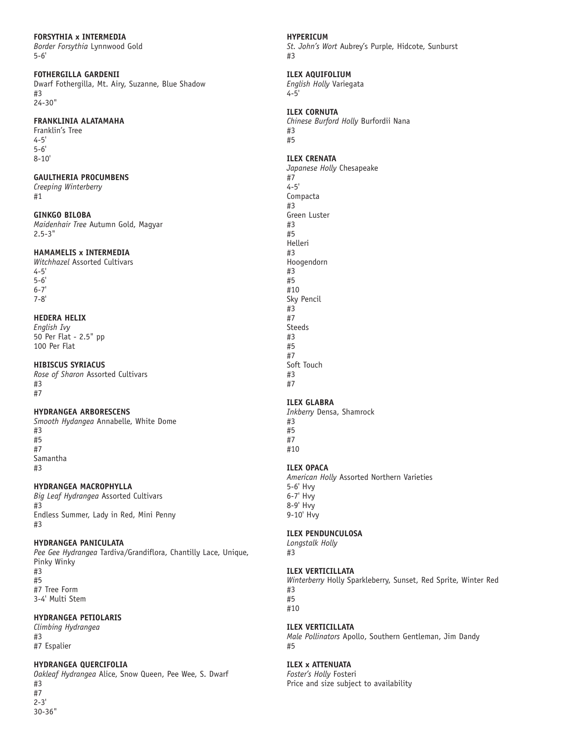5-6'

## **FOTHERGILLA GARDENII**

Dwarf Fothergilla, Mt. Airy, Suzanne, Blue Shadow #3

24-30"

### **FRANKLINIA ALATAMAHA**

Franklin's Tree 4-5' 5-6' 8-10'

## **GAULTHERIA PROCUMBENS**

*Creeping Winterberry*  #1

### **GINKGO BILOBA**

*Maidenhair Tree* Autumn Gold, Magyar 2.5-3"

## **HAMAMELIS x INTERMEDIA**

*Witchhazel* Assorted Cultivars 4-5' 5-6' 6-7' 7-8'

## **HEDERA HELIX**

*English Ivy*  50 Per Flat - 2.5" pp 100 Per Flat

## **HIBISCUS SYRIACUS**

*Rose of Sharon* Assorted Cultivars #3 #7

### **HYDRANGEA ARBORESCENS**

*Smooth Hydangea* Annabelle, White Dome #3 #5 #7 Samantha #3

**HYDRANGEA MACROPHYLLA**

*Big Leaf Hydrangea* Assorted Cultivars #3 Endless Summer, Lady in Red, Mini Penny #3

## **HYDRANGEA PANICULATA**

*Pee Gee Hydrangea* Tardiva/Grandiflora, Chantilly Lace, Unique, Pinky Winky #3 #5 #7 Tree Form 3-4' Multi Stem

## **HYDRANGEA PETIOLARIS**

*Climbing Hydrangea*  #3 #7 Espalier

## **HYDRANGEA QUERCIFOLIA**

*Oakleaf Hydrangea* Alice, Snow Queen, Pee Wee, S. Dwarf #3 #7 2-3' 30-36"

## **HYPERICUM**

*St. John's Wort* Aubrey's Purple, Hidcote, Sunburst #3

## **ILEX AQUIFOLIUM**

*English Holly* Variegata 4-5'

## **ILEX CORNUTA**

*Chinese Burford Holly* Burfordii Nana #3 #5

## **ILEX CRENATA**

*Japanese Holly* Chesapeake #7 4-5' Compacta #3 Green Luster #3 #5 Helleri #3 Hoogendorn #3 #5 #10 Sky Pencil #3 #7 Steeds #3 #5 #7 Soft Touch #3 #7

## **ILEX GLABRA**

*Inkberry* Densa, Shamrock #3 #5 #7 #10

## **ILEX OPACA**

*American Holly* Assorted Northern Varieties 5-6' Hvy 6-7' Hvy 8-9' Hvy 9-10' Hvy

# **ILEX PENDUNCULOSA**

*Longstalk Holly* #3

## **ILEX VERTICILLATA**

*Winterberry* Holly Sparkleberry, Sunset, Red Sprite, Winter Red #3 #5 #10

## **ILEX VERTICILLATA**

*Male Pollinators* Apollo, Southern Gentleman, Jim Dandy #5

## **ILEX x ATTENUATA**

*Foster's Holly* Fosteri Price and size subject to availability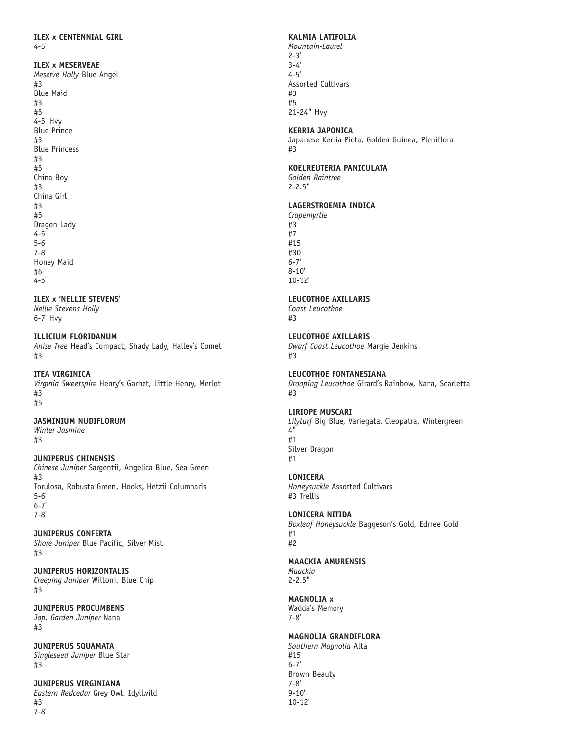#### **ILEX x MESERVEAE**

*Meserve Holly* Blue Angel #3 Blue Maid #3 #5 4-5' Hvy Blue Prince #3 Blue Princess #3 #5 China Boy #3 China Girl #3 #5 Dragon Lady 4-5' 5-6' 7-8' Honey Maid #6 4-5'

### **ILEX x 'NELLIE STEVENS'**

*Nellie Stevens Holly*  6-7' Hvy

### **ILLICIUM FLORIDANUM**

*Anise Tree* Head's Compact, Shady Lady, Halley's Comet #3

#### **ITEA VIRGINICA**

*Virginia Sweetspire* Henry's Garnet, Little Henry, Merlot #3 #5

#### **JASMINIUM NUDIFLORUM**

*Winter Jasmine* #3

### **JUNIPERUS CHINENSIS**

*Chinese Juniper* Sargentii, Angelica Blue, Sea Green #3 Torulosa, Robusta Green, Hooks, Hetzii Columnaris 5-6' 6-7' 7-8'

### **JUNIPERUS CONFERTA**

*Shore Juniper* Blue Pacific, Silver Mist #3

**JUNIPERUS HORIZONTALIS** *Creeping Juniper* Wiltoni, Blue Chip #3

**JUNIPERUS PROCUMBENS**  *Jap. Garden Juniper* Nana #3

**JUNIPERUS SQUAMATA**  *Singleseed Juniper* Blue Star #3

**JUNIPERUS VIRGINIANA** *Eastern Redcedar* Grey Owl, Idyllwild #3 7-8'

### **KALMIA LATIFOLIA**

*Mountain-Laurel*   $2 - 3'$ 3-4' 4-5' Assorted Cultivars #3 #5 21-24" Hvy

#### **KERRIA JAPONICA**

Japanese Kerria Picta, Golden Guinea, Pleniflora #3

## **KOELREUTERIA PANICULATA**

*Golden Raintree*  2-2.5"

## **LAGERSTROEMIA INDICA**

*Crapemyrtle*  #3 #7 #15 #30 6-7' 8-10' 10-12'

## **LEUCOTHOE AXILLARIS**

*Coast Leucothoe*  #3

# **LEUCOTHOE AXILLARIS**

*Dwarf Coast Leucothoe* Margie Jenkins #3

### **LEUCOTHOE FONTANESIANA**

*Drooping Leucothoe* Girard's Rainbow, Nana, Scarletta #3

### **LIRIOPE MUSCARI**

*Lilyturf* Big Blue, Variegata, Cleopatra, Wintergreen 4" #1 Silver Dragon #1

### **LONICERA**

*Honeysuckle* Assorted Cultivars #3 Trellis

### **LONICERA NITIDA**

*Boxleaf Honeysuckle* Baggeson's Gold, Edmee Gold #1 #2

### **MAACKIA AMURENSIS**

*Maackia* 2-2.5"

### **MAGNOLIA x**

Wadda's Memory 7-8'

# **MAGNOLIA GRANDIFLORA**

*Southern Magnolia* Alta #15 6-7' Brown Beauty 7-8' 9-10' 10-12'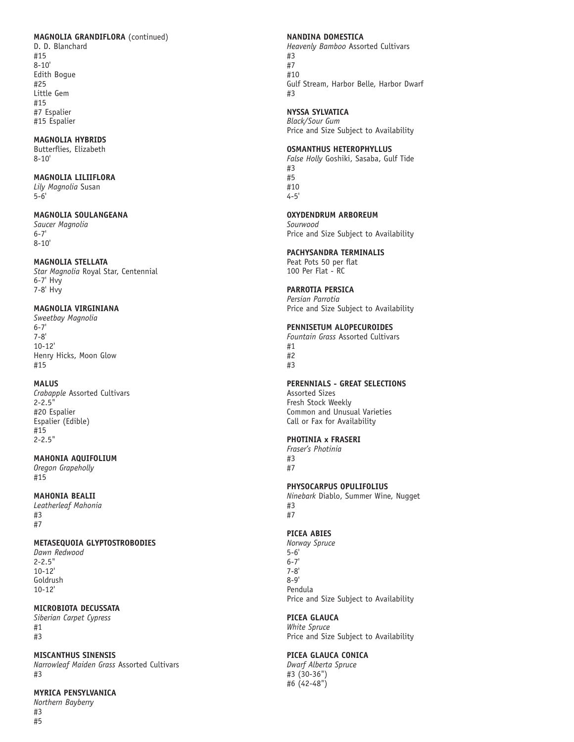#### **MAGNOLIA GRANDIFLORA** (continued)

D. D. Blanchard #15 8-10' Edith Bogue #25 Little Gem #15 #7 Espalier #15 Espalier

# **MAGNOLIA HYBRIDS**

Butterflies, Elizabeth 8-10'

#### **MAGNOLIA LILIIFLORA**

*Lily Magnolia* Susan 5-6'

# **MAGNOLIA SOULANGEANA**

*Saucer Magnolia* 6-7' 8-10'

### **MAGNOLIA STELLATA**

*Star Magnolia* Royal Star, Centennial 6-7' Hvy 7-8' Hvy

## **MAGNOLIA VIRGINIANA**

*Sweetbay Magnolia*  6-7' 7-8' 10-12' Henry Hicks, Moon Glow #15

## **MALUS**

*Crabapple* Assorted Cultivars 2-2.5" #20 Espalier Espalier (Edible) #15 2-2.5"

## **MAHONIA AQUIFOLIUM**

*Oregon Grapeholly*  #15

# **MAHONIA BEALII**

*Leatherleaf Mahonia*  #3 #7

## **METASEQUOIA GLYPTOSTROBODIES**

*Dawn Redwood* 2-2.5" 10-12' Goldrush 10-12'

## **MICROBIOTA DECUSSATA**

*Siberian Carpet Cypress*  #1 #3

### **MISCANTHUS SINENSIS**

*Narrowleaf Maiden Grass* Assorted Cultivars #3

## **MYRICA PENSYLVANICA**

*Northern Bayberry*  #3

#5

#### **NANDINA DOMESTICA**

*Heavenly Bamboo* Assorted Cultivars #3 #7 #10 Gulf Stream, Harbor Belle, Harbor Dwarf #3

#### **NYSSA SYLVATICA**

*Black/Sour Gum* Price and Size Subject to Availability

## **OSMANTHUS HETEROPHYLLUS**

*False Holly* Goshiki, Sasaba, Gulf Tide #3 #5 #10 4-5'

**OXYDENDRUM ARBOREUM**

*Sourwood* Price and Size Subject to Availability

## **PACHYSANDRA TERMINALIS**

Peat Pots 50 per flat 100 Per Flat - RC

## **PARROTIA PERSICA**

*Persian Parrotia*  Price and Size Subject to Availability

## **PENNISETUM ALOPECUROIDES**

*Fountain Grass* Assorted Cultivars #1 #2 #3

### **PERENNIALS - GREAT SELECTIONS**

Assorted Sizes Fresh Stock Weekly Common and Unusual Varieties Call or Fax for Availability

### **PHOTINIA x FRASERI**

*Fraser's Photinia* #3 #7

### **PHYSOCARPUS OPULIFOLIUS**

*Ninebark* Diablo, Summer Wine, Nugget #3 #7

## **PICEA ABIES**

*Norway Spruce*  5-6' 6-7' 7-8' 8-9' Pendula Price and Size Subject to Availability

### **PICEA GLAUCA**

*White Spruce* Price and Size Subject to Availability

## **PICEA GLAUCA CONICA**

*Dwarf Alberta Spruce* #3 (30-36") #6 (42-48")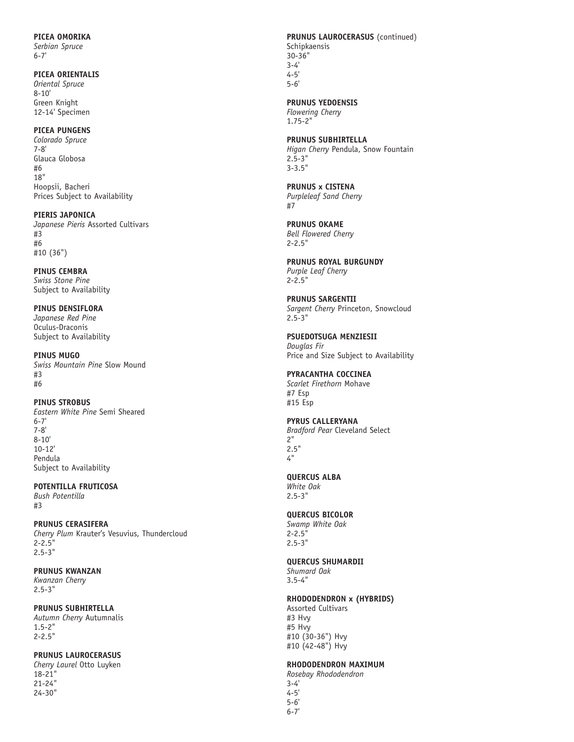## **PICEA OMORIKA**

*Serbian Spruce*  6-7'

### **PICEA ORIENTALIS**

*Oriental Spruce* 8-10' Green Knight 12-14' Specimen

## **PICEA PUNGENS**

*Colorado Spruce* 7-8' Glauca Globosa #6 18" Hoopsii, Bacheri Prices Subject to Availability

# **PIERIS JAPONICA**

*Japanese Pieris* Assorted Cultivars #3 #6 #10 (36")

**PINUS CEMBRA**  *Swiss Stone Pine*  Subject to Availability

# **PINUS DENSIFLORA**  *Japanese Red Pine*

Oculus-Draconis Subject to Availability

**PINUS MUGO** *Swiss Mountain Pine* Slow Mound #3 #6

## **PINUS STROBUS**

*Eastern White Pine* Semi Sheared 6-7' 7-8' 8-10' 10-12' Pendula Subject to Availability

# **POTENTILLA FRUTICOSA**

*Bush Potentilla* #3

## **PRUNUS CERASIFERA**

*Cherry Plum* Krauter's Vesuvius, Thundercloud 2-2.5" 2.5-3"

## **PRUNUS KWANZAN**

*Kwanzan Cherry*  2.5-3"

## **PRUNUS SUBHIRTELLA**

*Autumn Cherry* Autumnalis 1.5-2" 2-2.5"

## **PRUNUS LAUROCERASUS**

*Cherry Laurel* Otto Luyken 18-21" 21-24" 24-30"

# **PRUNUS LAUROCERASUS** (continued) Schipkaensis

30-36" 3-4' 4-5' 5-6'

# **PRUNUS YEDOENSIS**

*Flowering Cherry*  1.75-2"

#### **PRUNUS SUBHIRTELLA**  *Higan Cherry* Pendula, Snow Fountain 2.5-3" 3-3.5"

#### **PRUNUS x CISTENA** *Purpleleaf Sand Cherry*  #7

**PRUNUS OKAME**  *Bell Flowered Cherry* 2-2.5"

 $2 - 2.5$ "

#### **PRUNUS ROYAL BURGUNDY** *Purple Leaf Cherry*

**PRUNUS SARGENTII**  *Sargent Cherry* Princeton, Snowcloud 2.5-3"

#### **PSUEDOTSUGA MENZIESII**  *Douglas Fir*  Price and Size Subject to Availability

#### **PYRACANTHA COCCINEA** *Scarlet Firethorn* Mohave

#7 Esp #15 Esp

# **PYRUS CALLERYANA**

*Bradford Pear* Cleveland Select 2" 2.5" 4"

# **QUERCUS ALBA**

*White Oak* 2.5-3"

# **QUERCUS BICOLOR**

*Swamp White Oak* 2-2.5" 2.5-3"

# **QUERCUS SHUMARDII**

*Shumard Oak* 3.5-4"

# **RHODODENDRON x (HYBRIDS)**

Assorted Cultivars #3 Hvy #5 Hvy #10 (30-36") Hvy #10 (42-48") Hvy

# **RHODODENDRON MAXIMUM**

*Rosebay Rhododendron*

3-4' 4-5' 5-6' 6-7'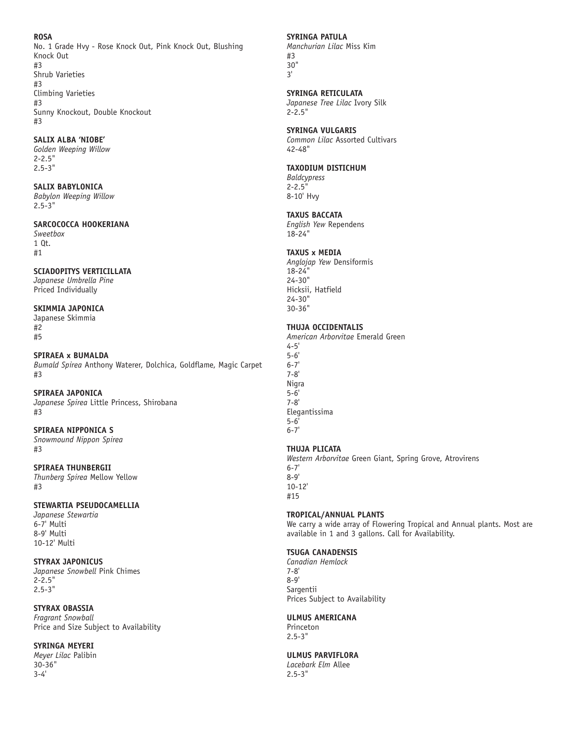### **ROSA**

No. 1 Grade Hvy - Rose Knock Out, Pink Knock Out, Blushing Knock Out #3 Shrub Varieties #3 Climbing Varieties #3 Sunny Knockout, Double Knockout #3

## **SALIX ALBA 'NIOBE'**

*Golden Weeping Willow* 2-2.5" 2.5-3"

## **SALIX BABYLONICA**

*Babylon Weeping Willow*  2.5-3"

#### **SARCOCOCCA HOOKERIANA**

*Sweetbox* 1 Qt. #1

### **SCIADOPITYS VERTICILLATA**

*Japanese Umbrella Pine*  Priced Individually

#### **SKIMMIA JAPONICA**

Japanese Skimmia #2 #5

#### **SPIRAEA x BUMALDA**

*Bumald Spirea* Anthony Waterer, Dolchica, Goldflame, Magic Carpet #3

#### **SPIRAEA JAPONICA**

*Japanese Spirea* Little Princess, Shirobana #3

#### **SPIRAEA NIPPONICA S**

*Snowmound Nippon Spirea* #3

### **SPIRAEA THUNBERGII**

*Thunberg Spirea* Mellow Yellow #3

## **STEWARTIA PSEUDOCAMELLIA**

*Japanese Stewartia*  6-7' Multi 8-9' Multi 10-12' Multi

#### **STYRAX JAPONICUS**

*Japanese Snowbell* Pink Chimes 2-2.5" 2.5-3"

## **STYRAX OBASSIA**

*Fragrant Snowball*  Price and Size Subject to Availability

### **SYRINGA MEYERI**

*Meyer Lilac* Palibin 30-36" 3-4'

#### **SYRINGA PATULA**

*Manchurian Lilac* Miss Kim #3 30" 3'

### **SYRINGA RETICULATA**

*Japanese Tree Lilac* Ivory Silk 2-2.5"

#### **SYRINGA VULGARIS**

*Common Lilac* Assorted Cultivars 42-48"

#### **TAXODIUM DISTICHUM**

*Baldcypress* 2-2.5" 8-10' Hvy

#### **TAXUS BACCATA**

*English Yew* Rependens 18-24"

### **TAXUS x MEDIA**

*Anglojap Yew* Densiformis 18-24" 24-30" Hicksii, Hatfield 24-30" 30-36"

## **THUJA OCCIDENTALIS**

*American Arborvitae* Emerald Green 4-5' 5-6' 6-7' 7-8' Nigra 5-6' 7-8' Elegantissima 5-6' 6-7' **THUJA PLICATA** 

*Western Arborvitae* Green Giant, Spring Grove, Atrovirens 6-7' 8-9' 10-12' #15

### **TROPICAL/ANNUAL PLANTS**

We carry a wide array of Flowering Tropical and Annual plants. Most are available in 1 and 3 gallons. Call for Availability.

## **TSUGA CANADENSIS**

*Canadian Hemlock*  7-8' 8-9' Sargentii Prices Subject to Availability

### **ULMUS AMERICANA**

Princeton 2.5-3"

## **ULMUS PARVIFLORA**

*Lacebark Elm* Allee 2.5-3"